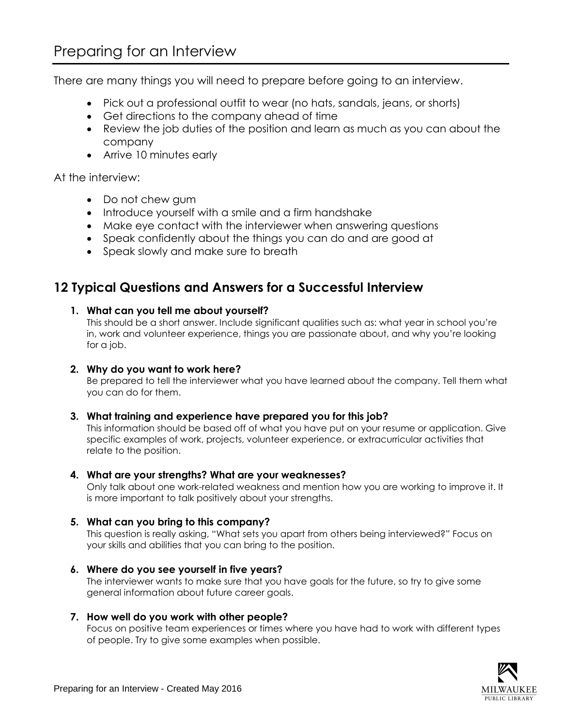There are many things you will need to prepare before going to an interview.

- Pick out a professional outfit to wear (no hats, sandals, jeans, or shorts)
- Get directions to the company ahead of time
- Review the job duties of the position and learn as much as you can about the company
- Arrive 10 minutes early

At the interview:

- Do not chew gum
- Introduce yourself with a smile and a firm handshake
- Make eye contact with the interviewer when answering questions
- Speak confidently about the things you can do and are good at
- Speak slowly and make sure to breath

# **12 Typical Questions and Answers for a Successful Interview**

## **1. What can you tell me about yourself?**

This should be a short answer. Include significant qualities such as: what year in school you're in, work and volunteer experience, things you are passionate about, and why you're looking for a job.

### **2. Why do you want to work here?**

Be prepared to tell the interviewer what you have learned about the company. Tell them what you can do for them.

## **3. What training and experience have prepared you for this job?**

This information should be based off of what you have put on your resume or application. Give specific examples of work, projects, volunteer experience, or extracurricular activities that relate to the position.

#### **4. What are your strengths? What are your weaknesses?**

Only talk about one work-related weakness and mention how you are working to improve it. It is more important to talk positively about your strengths.

## **5. What can you bring to this company?**

This question is really asking, "What sets you apart from others being interviewed?" Focus on your skills and abilities that you can bring to the position.

**6. Where do you see yourself in five years?**

The interviewer wants to make sure that you have goals for the future, so try to give some general information about future career goals.

## **7. How well do you work with other people?**

Focus on positive team experiences or times where you have had to work with different types of people. Try to give some examples when possible.